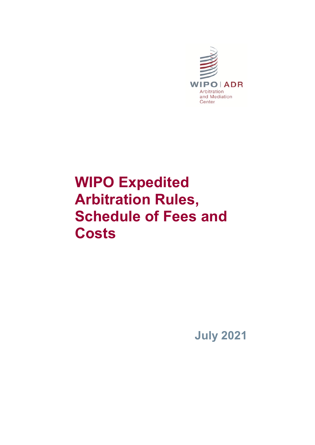

# **WIPO Expedited Arbitration Rules, Schedule of Fees and Costs**

**July 2021**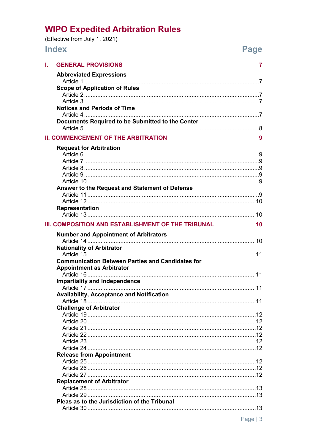|    | (Effective from July 1, 2021)                           |      |
|----|---------------------------------------------------------|------|
|    | <b>Index</b>                                            | Page |
| I. | <b>GENERAL PROVISIONS</b>                               | 7    |
|    | <b>Abbreviated Expressions</b>                          |      |
|    | <b>Scope of Application of Rules</b>                    |      |
|    |                                                         |      |
|    |                                                         |      |
|    | <b>Notices and Periods of Time</b>                      |      |
|    | Documents Required to be Submitted to the Center        |      |
|    | <b>II. COMMENCEMENT OF THE ARBITRATION</b>              | 9    |
|    | <b>Request for Arbitration</b>                          |      |
|    |                                                         |      |
|    |                                                         |      |
|    |                                                         |      |
|    |                                                         |      |
|    |                                                         |      |
|    | Answer to the Request and Statement of Defense          |      |
|    |                                                         |      |
|    |                                                         |      |
|    | <b>Representation</b>                                   |      |
|    |                                                         |      |
|    | III. COMPOSITION AND ESTABLISHMENT OF THE TRIBUNAL      | 10   |
|    | <b>Number and Appointment of Arbitrators</b>            |      |
|    | <b>Nationality of Arbitrator</b>                        |      |
|    |                                                         |      |
|    | <b>Communication Between Parties and Candidates for</b> |      |
|    | <b>Appointment as Arbitrator</b>                        |      |
|    |                                                         |      |
|    | <b>Impartiality and Independence</b>                    |      |
|    |                                                         |      |
|    | <b>Availability, Acceptance and Notification</b>        |      |
|    | <b>Challenge of Arbitrator</b>                          |      |
|    |                                                         |      |
|    |                                                         |      |
|    |                                                         |      |
|    |                                                         |      |
|    |                                                         |      |
|    |                                                         |      |
|    | <b>Release from Appointment</b>                         |      |
|    |                                                         |      |
|    |                                                         |      |
|    |                                                         |      |
|    | <b>Replacement of Arbitrator</b>                        |      |
|    |                                                         |      |
|    |                                                         |      |
|    | Pleas as to the Jurisdiction of the Tribunal            |      |
|    |                                                         |      |
|    |                                                         |      |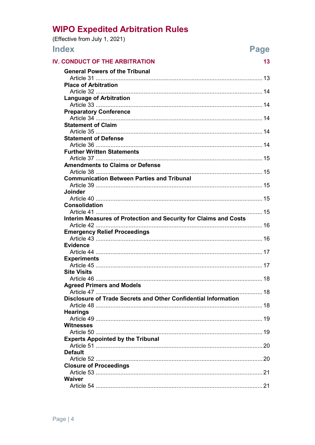| (Effective from July 1, 2021)                                         |      |
|-----------------------------------------------------------------------|------|
| <b>Index</b>                                                          | Page |
| <b>IV. CONDUCT OF THE ARBITRATION</b>                                 | 13   |
| <b>General Powers of the Tribunal</b>                                 |      |
|                                                                       |      |
| <b>Place of Arbitration</b>                                           |      |
|                                                                       |      |
| <b>Language of Arbitration</b>                                        |      |
| <b>Preparatory Conference</b>                                         |      |
|                                                                       |      |
| <b>Statement of Claim</b>                                             |      |
| <b>Statement of Defense</b>                                           |      |
|                                                                       |      |
| <b>Further Written Statements</b>                                     |      |
|                                                                       |      |
| <b>Amendments to Claims or Defense</b>                                |      |
|                                                                       |      |
| <b>Communication Between Parties and Tribunal</b>                     |      |
|                                                                       |      |
| <b>Joinder</b>                                                        |      |
|                                                                       |      |
| <b>Consolidation</b>                                                  |      |
|                                                                       |      |
| Interim Measures of Protection and Security for Claims and Costs      |      |
|                                                                       |      |
| <b>Emergency Relief Proceedings</b>                                   |      |
| <b>Evidence</b>                                                       |      |
|                                                                       |      |
| <b>Experiments</b>                                                    |      |
|                                                                       |      |
| <b>Site Visits</b>                                                    |      |
|                                                                       |      |
| <b>Agreed Primers and Models</b>                                      |      |
|                                                                       |      |
| <b>Disclosure of Trade Secrets and Other Confidential Information</b> |      |
|                                                                       |      |
| <b>Hearings</b>                                                       |      |
|                                                                       |      |
| <b>Witnesses</b>                                                      |      |
|                                                                       |      |
| <b>Experts Appointed by the Tribunal</b>                              |      |
| <b>Default</b>                                                        |      |
|                                                                       |      |
| <b>Closure of Proceedings</b>                                         |      |
|                                                                       |      |
| <b>Waiver</b>                                                         |      |
|                                                                       |      |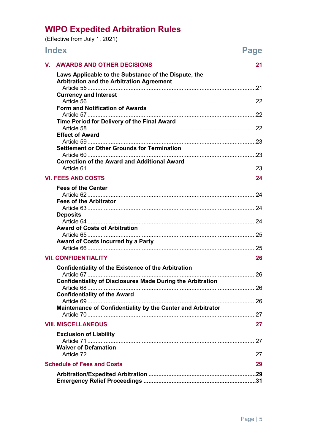(Effective from July 1, 2021)

| <b>Index</b>                                                                                             |    |
|----------------------------------------------------------------------------------------------------------|----|
| V.<br><b>AWARDS AND OTHER DECISIONS</b>                                                                  | 21 |
| Laws Applicable to the Substance of the Dispute, the<br><b>Arbitration and the Arbitration Agreement</b> |    |
| <b>Currency and Interest</b>                                                                             |    |
| <b>Form and Notification of Awards</b>                                                                   |    |
|                                                                                                          |    |
| Time Period for Delivery of the Final Award                                                              |    |
| <b>Effect of Award</b>                                                                                   |    |
| <b>Settlement or Other Grounds for Termination</b>                                                       |    |
| <b>Correction of the Award and Additional Award</b>                                                      |    |
| <b>VI. FEES AND COSTS</b>                                                                                | 24 |
| <b>Fees of the Center</b>                                                                                |    |
| <b>Fees of the Arbitrator</b>                                                                            |    |
|                                                                                                          |    |
| <b>Deposits</b>                                                                                          |    |
| <b>Award of Costs of Arbitration</b>                                                                     |    |
| <b>Award of Costs Incurred by a Party</b>                                                                |    |
| <b>VII. CONFIDENTIALITY</b>                                                                              | 26 |
| <b>Confidentiality of the Existence of the Arbitration</b>                                               |    |
| <b>Confidentiality of Disclosures Made During the Arbitration</b>                                        |    |
|                                                                                                          |    |
| <b>Confidentiality of the Award</b>                                                                      |    |
| Maintenance of Confidentiality by the Center and Arbitrator                                              |    |
| <b>VIII. MISCELLANEOUS</b>                                                                               | 27 |
| <b>Exclusion of Liability</b>                                                                            |    |
| <b>Waiver of Defamation</b>                                                                              |    |
| <b>Schedule of Fees and Costs</b>                                                                        | 29 |
|                                                                                                          |    |
|                                                                                                          |    |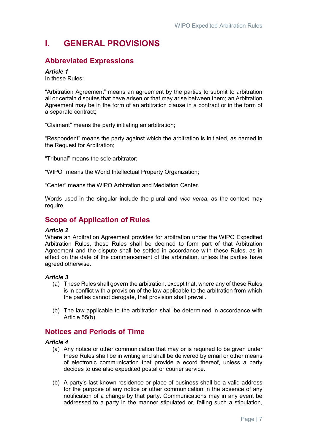### <span id="page-5-0"></span>**I. GENERAL PROVISIONS**

### <span id="page-5-1"></span>**Abbreviated Expressions**

#### <span id="page-5-2"></span>*Article 1*

In these Rules:

"Arbitration Agreement" means an agreement by the parties to submit to arbitration all or certain disputes that have arisen or that may arise between them; an Arbitration Agreement may be in the form of an arbitration clause in a contract or in the form of a separate contract;

"Claimant" means the party initiating an arbitration;

"Respondent" means the party against which the arbitration is initiated, as named in the Request for Arbitration;

"Tribunal" means the sole arbitrator;

"WIPO" means the World Intellectual Property Organization;

"Center" means the WIPO Arbitration and Mediation Center.

Words used in the singular include the plural and *vice versa*, as the context may require.

### <span id="page-5-3"></span>**Scope of Application of Rules**

#### <span id="page-5-4"></span>*Article 2*

Where an Arbitration Agreement provides for arbitration under the WIPO Expedited Arbitration Rules, these Rules shall be deemed to form part of that Arbitration Agreement and the dispute shall be settled in accordance with these Rules, as in effect on the date of the commencement of the arbitration, unless the parties have agreed otherwise.

#### <span id="page-5-5"></span>*Article 3*

- (a) These Rules shall govern the arbitration, except that, where any of these Rules is in conflict with a provision of the law applicable to the arbitration from which the parties cannot derogate, that provision shall prevail.
- (b) The law applicable to the arbitration shall be determined in accordance with Article 55(b).

### <span id="page-5-7"></span><span id="page-5-6"></span>**Notices and Periods of Time**

- (a) Any notice or other communication that may or is required to be given under these Rules shall be in writing and shall be delivered by email or other means of electronic communication that provide a ecord thereof, unless a party decides to use also expedited postal or courier service.
- (b) A party's last known residence or place of business shall be a valid address for the purpose of any notice or other communication in the absence of any notification of a change by that party. Communications may in any event be addressed to a party in the manner stipulated or, failing such a stipulation,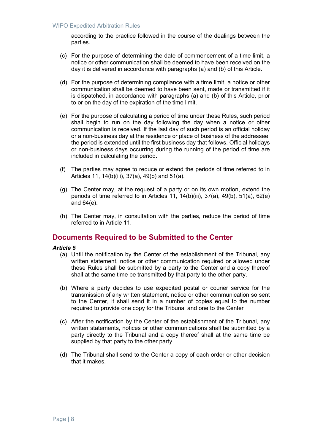according to the practice followed in the course of the dealings between the parties.

- (c) For the purpose of determining the date of commencement of a time limit, a notice or other communication shall be deemed to have been received on the day it is delivered in accordance with paragraphs (a) and (b) of this Article.
- (d) For the purpose of determining compliance with a time limit, a notice or other communication shall be deemed to have been sent, made or transmitted if it is dispatched, in accordance with paragraphs (a) and (b) of this Article, prior to or on the day of the expiration of the time limit.
- (e) For the purpose of calculating a period of time under these Rules, such period shall begin to run on the day following the day when a notice or other communication is received. If the last day of such period is an official holiday or a non-business day at the residence or place of business of the addressee, the period is extended until the first business day that follows. Official holidays or non-business days occurring during the running of the period of time are included in calculating the period.
- (f) The parties may agree to reduce or extend the periods of time referred to in Articles 11, 14(b)(iii), 37(a), 49(b) and 51(a).
- (g) The Center may, at the request of a party or on its own motion, extend the periods of time referred to in Articles 11, 14(b)(iii), 37(a), 49(b), 51(a), 62(e) and 64(e).
- (h) The Center may, in consultation with the parties, reduce the period of time referred to in Article 11.

### <span id="page-6-0"></span>**Documents Required to be Submitted to the Center**

- <span id="page-6-1"></span>(a) Until the notification by the Center of the establishment of the Tribunal, any written statement, notice or other communication required or allowed under these Rules shall be submitted by a party to the Center and a copy thereof shall at the same time be transmitted by that party to the other party.
- (b) Where a party decides to use expedited postal or courier service for the transmission of any written statement, notice or other communication so sent to the Center, it shall send it in a number of copies equal to the number required to provide one copy for the Tribunal and one to the Center
- (c) After the notification by the Center of the establishment of the Tribunal, any written statements, notices or other communications shall be submitted by a party directly to the Tribunal and a copy thereof shall at the same time be supplied by that party to the other party.
- (d) The Tribunal shall send to the Center a copy of each order or other decision that it makes.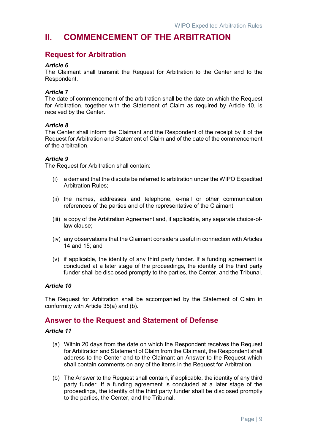### <span id="page-7-0"></span>**II. COMMENCEMENT OF THE ARBITRATION**

### <span id="page-7-1"></span>**Request for Arbitration**

#### <span id="page-7-2"></span>*Article 6*

The Claimant shall transmit the Request for Arbitration to the Center and to the Respondent.

#### <span id="page-7-3"></span>*Article 7*

The date of commencement of the arbitration shall be the date on which the Request for Arbitration, together with the Statement of Claim as required by Article 10, is received by the Center.

#### <span id="page-7-4"></span>*Article 8*

The Center shall inform the Claimant and the Respondent of the receipt by it of the Request for Arbitration and Statement of Claim and of the date of the commencement of the arbitration.

#### <span id="page-7-5"></span>*Article 9*

The Request for Arbitration shall contain:

- (i) a demand that the dispute be referred to arbitration under the WIPO Expedited Arbitration Rules;
- (ii) the names, addresses and telephone, e-mail or other communication references of the parties and of the representative of the Claimant;
- (iii) a copy of the Arbitration Agreement and, if applicable, any separate choice-oflaw clause;
- (iv) any observations that the Claimant considers useful in connection with Articles 14 and 15; and
- (v) if applicable, the identity of any third party funder. If a funding agreement is concluded at a later stage of the proceedings, the identity of the third party funder shall be disclosed promptly to the parties, the Center, and the Tribunal.

#### <span id="page-7-6"></span>*Article 10*

The Request for Arbitration shall be accompanied by the Statement of Claim in conformity with Article 35(a) and (b).

### <span id="page-7-8"></span><span id="page-7-7"></span>**Answer to the Request and Statement of Defense**

- (a) Within 20 days from the date on which the Respondent receives the Request for Arbitration and Statement of Claim from the Claimant, the Respondent shall address to the Center and to the Claimant an Answer to the Request which shall contain comments on any of the items in the Request for Arbitration.
- (b) The Answer to the Request shall contain, if applicable, the identity of any third party funder. If a funding agreement is concluded at a later stage of the proceedings, the identity of the third party funder shall be disclosed promptly to the parties, the Center, and the Tribunal.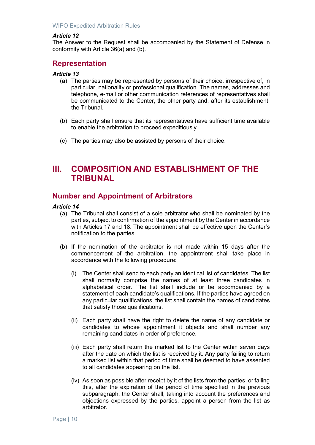#### <span id="page-8-0"></span>*Article 12*

The Answer to the Request shall be accompanied by the Statement of Defense in conformity with Article 36(a) and (b).

### <span id="page-8-1"></span>**Representation**

#### <span id="page-8-2"></span>*Article 13*

- (a) The parties may be represented by persons of their choice, irrespective of, in particular, nationality or professional qualification. The names, addresses and telephone, e-mail or other communication references of representatives shall be communicated to the Center, the other party and, after its establishment, the Tribunal.
- (b) Each party shall ensure that its representatives have sufficient time available to enable the arbitration to proceed expeditiously.
- (c) The parties may also be assisted by persons of their choice.

### <span id="page-8-3"></span>**III. COMPOSITION AND ESTABLISHMENT OF THE TRIBUNAL**

### <span id="page-8-5"></span><span id="page-8-4"></span>**Number and Appointment of Arbitrators**

- (a) The Tribunal shall consist of a sole arbitrator who shall be nominated by the parties, subject to confirmation of the appointment by the Center in accordance with Articles 17 and 18. The appointment shall be effective upon the Center's notification to the parties.
- (b) If the nomination of the arbitrator is not made within 15 days after the commencement of the arbitration, the appointment shall take place in accordance with the following procedure:
	- (i) The Center shall send to each party an identical list of candidates. The list shall normally comprise the names of at least three candidates in alphabetical order. The list shall include or be accompanied by a statement of each candidate's qualifications. If the parties have agreed on any particular qualifications, the list shall contain the names of candidates that satisfy those qualifications.
	- (ii) Each party shall have the right to delete the name of any candidate or candidates to whose appointment it objects and shall number any remaining candidates in order of preference.
	- (iii) Each party shall return the marked list to the Center within seven days after the date on which the list is received by it. Any party failing to return a marked list within that period of time shall be deemed to have assented to all candidates appearing on the list.
	- (iv) As soon as possible after receipt by it of the lists from the parties, or failing this, after the expiration of the period of time specified in the previous subparagraph, the Center shall, taking into account the preferences and objections expressed by the parties, appoint a person from the list as arbitrator.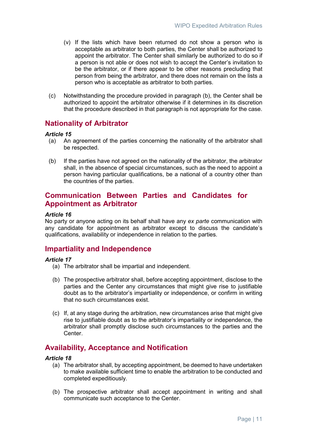- (v) If the lists which have been returned do not show a person who is acceptable as arbitrator to both parties, the Center shall be authorized to appoint the arbitrator. The Center shall similarly be authorized to do so if a person is not able or does not wish to accept the Center's invitation to be the arbitrator, or if there appear to be other reasons precluding that person from being the arbitrator, and there does not remain on the lists a person who is acceptable as arbitrator to both parties.
- (c) Notwithstanding the procedure provided in paragraph (b), the Center shall be authorized to appoint the arbitrator otherwise if it determines in its discretion that the procedure described in that paragraph is not appropriate for the case.

### <span id="page-9-0"></span>**Nationality of Arbitrator**

#### <span id="page-9-1"></span>*Article 15*

- (a) An agreement of the parties concerning the nationality of the arbitrator shall be respected.
- (b) If the parties have not agreed on the nationality of the arbitrator, the arbitrator shall, in the absence of special circumstances, such as the need to appoint a person having particular qualifications, be a national of a country other than the countries of the parties.

### <span id="page-9-2"></span>**Communication Between Parties and Candidates for Appointment as Arbitrator**

#### <span id="page-9-3"></span>*Article 16*

No party or anyone acting on its behalf shall have any *ex parte* communication with any candidate for appointment as arbitrator except to discuss the candidate's qualifications, availability or independence in relation to the parties.

### <span id="page-9-4"></span>**Impartiality and Independence**

#### <span id="page-9-5"></span>*Article 17*

- (a) The arbitrator shall be impartial and independent.
- (b) The prospective arbitrator shall, before accepting appointment, disclose to the parties and the Center any circumstances that might give rise to justifiable doubt as to the arbitrator's impartiality or independence, or confirm in writing that no such circumstances exist.
- (c) If, at any stage during the arbitration, new circumstances arise that might give rise to justifiable doubt as to the arbitrator's impartiality or independence, the arbitrator shall promptly disclose such circumstances to the parties and the Center.

### <span id="page-9-7"></span><span id="page-9-6"></span>**Availability, Acceptance and Notification**

- (a) The arbitrator shall, by accepting appointment, be deemed to have undertaken to make available sufficient time to enable the arbitration to be conducted and completed expeditiously.
- (b) The prospective arbitrator shall accept appointment in writing and shall communicate such acceptance to the Center.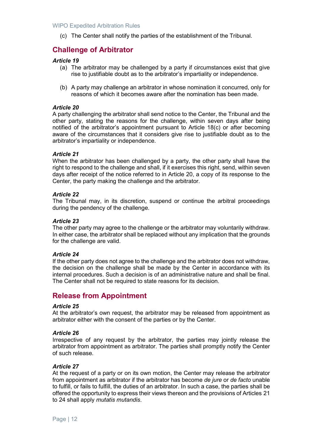(c) The Center shall notify the parties of the establishment of the Tribunal.

### <span id="page-10-0"></span>**Challenge of Arbitrator**

#### <span id="page-10-1"></span>*Article 19*

- (a) The arbitrator may be challenged by a party if circumstances exist that give rise to justifiable doubt as to the arbitrator's impartiality or independence.
- (b) A party may challenge an arbitrator in whose nomination it concurred, only for reasons of which it becomes aware after the nomination has been made.

#### <span id="page-10-2"></span>*Article 20*

A party challenging the arbitrator shall send notice to the Center, the Tribunal and the other party, stating the reasons for the challenge, within seven days after being notified of the arbitrator's appointment pursuant to Article 18(c) or after becoming aware of the circumstances that it considers give rise to justifiable doubt as to the arbitrator's impartiality or independence.

#### <span id="page-10-3"></span>*Article 21*

When the arbitrator has been challenged by a party, the other party shall have the right to respond to the challenge and shall, if it exercises this right, send, within seven days after receipt of the notice referred to in Article 20, a copy of its response to the Center, the party making the challenge and the arbitrator.

#### <span id="page-10-4"></span>*Article 22*

The Tribunal may, in its discretion, suspend or continue the arbitral proceedings during the pendency of the challenge.

#### <span id="page-10-5"></span>*Article 23*

The other party may agree to the challenge or the arbitrator may voluntarily withdraw. In either case, the arbitrator shall be replaced without any implication that the grounds for the challenge are valid.

#### <span id="page-10-6"></span>*Article 24*

If the other party does not agree to the challenge and the arbitrator does not withdraw, the decision on the challenge shall be made by the Center in accordance with its internal procedures. Such a decision is of an administrative nature and shall be final. The Center shall not be required to state reasons for its decision.

### <span id="page-10-7"></span>**Release from Appointment**

#### <span id="page-10-8"></span>*Article 25*

At the arbitrator's own request, the arbitrator may be released from appointment as arbitrator either with the consent of the parties or by the Center.

#### <span id="page-10-9"></span>*Article 26*

Irrespective of any request by the arbitrator, the parties may jointly release the arbitrator from appointment as arbitrator. The parties shall promptly notify the Center of such release.

#### <span id="page-10-10"></span>*Article 27*

At the request of a party or on its own motion, the Center may release the arbitrator from appointment as arbitrator if the arbitrator has become *de jure* or *de facto* unable to fulfill, or fails to fulfill, the duties of an arbitrator. In such a case, the parties shall be offered the opportunity to express their views thereon and the provisions of Articles 21 to 24 shall apply *mutatis mutandis*.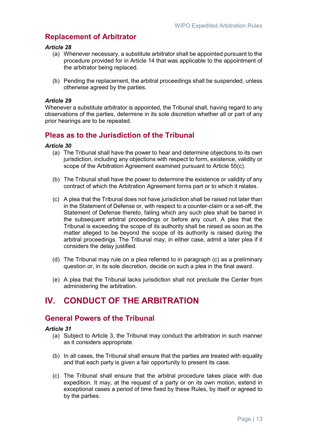### <span id="page-11-0"></span>**Replacement of Arbitrator**

#### <span id="page-11-1"></span>*Article 28*

- (a) Whenever necessary, a substitute arbitrator shall be appointed pursuant to the procedure provided for in Article 14 that was applicable to the appointment of the arbitrator being replaced.
- (b) Pending the replacement, the arbitral proceedings shall be suspended, unless otherwise agreed by the parties.

#### <span id="page-11-2"></span>*Article 29*

Whenever a substitute arbitrator is appointed, the Tribunal shall, having regard to any observations of the parties, determine in its sole discretion whether all or part of any prior hearings are to be repeated.

### <span id="page-11-3"></span>**Pleas as to the Jurisdiction of the Tribunal**

#### <span id="page-11-4"></span>*Article 30*

- (a) The Tribunal shall have the power to hear and determine objections to its own jurisdiction, including any objections with respect to form, existence, validity or scope of the Arbitration Agreement examined pursuant to Article 55(c).
- (b) The Tribunal shall have the power to determine the existence or validity of any contract of which the Arbitration Agreement forms part or to which it relates.
- (c) A plea that the Tribunal does not have jurisdiction shall be raised not later than in the Statement of Defense or, with respect to a counter-claim or a set-off, the Statement of Defense thereto, failing which any such plea shall be barred in the subsequent arbitral proceedings or before any court. A plea that the Tribunal is exceeding the scope of its authority shall be raised as soon as the matter alleged to be beyond the scope of its authority is raised during the arbitral proceedings. The Tribunal may, in either case, admit a later plea if it considers the delay justified.
- (d) The Tribunal may rule on a plea referred to in paragraph (c) as a preliminary question or, in its sole discretion, decide on such a plea in the final award.
- (e) A plea that the Tribunal lacks jurisdiction shall not preclude the Center from administering the arbitration.

### <span id="page-11-5"></span>**IV. CONDUCT OF THE ARBITRATION**

### <span id="page-11-7"></span><span id="page-11-6"></span>**General Powers of the Tribunal**

- (a) Subject to Article 3, the Tribunal may conduct the arbitration in such manner as it considers appropriate.
- (b) In all cases, the Tribunal shall ensure that the parties are treated with equality and that each party is given a fair opportunity to present its case.
- (c) The Tribunal shall ensure that the arbitral procedure takes place with due expedition. It may, at the request of a party or on its own motion, extend in exceptional cases a period of time fixed by these Rules, by itself or agreed to by the parties.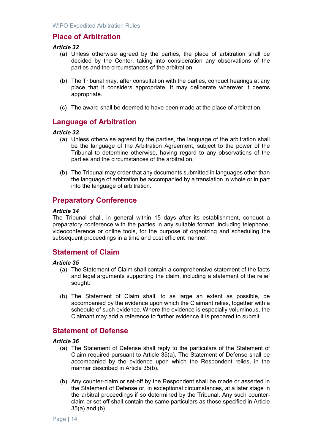### <span id="page-12-0"></span>**Place of Arbitration**

#### <span id="page-12-1"></span>*Article 32*

- (a) Unless otherwise agreed by the parties, the place of arbitration shall be decided by the Center, taking into consideration any observations of the parties and the circumstances of the arbitration.
- (b) The Tribunal may, after consultation with the parties, conduct hearings at any place that it considers appropriate. It may deliberate wherever it deems appropriate.
- (c) The award shall be deemed to have been made at the place of arbitration.

### <span id="page-12-2"></span>**Language of Arbitration**

#### <span id="page-12-3"></span>*Article 33*

- (a) Unless otherwise agreed by the parties, the language of the arbitration shall be the language of the Arbitration Agreement, subject to the power of the Tribunal to determine otherwise, having regard to any observations of the parties and the circumstances of the arbitration.
- (b) The Tribunal may order that any documents submitted in languages other than the language of arbitration be accompanied by a translation in whole or in part into the language of arbitration.

### <span id="page-12-4"></span>**Preparatory Conference**

#### <span id="page-12-5"></span>*Article 34*

The Tribunal shall, in general within 15 days after its establishment, conduct a preparatory conference with the parties in any suitable format, including telephone, videoconference or online tools, for the purpose of organizing and scheduling the subsequent proceedings in a time and cost efficient manner.

### <span id="page-12-6"></span>**Statement of Claim**

#### <span id="page-12-7"></span>*Article 35*

- (a) The Statement of Claim shall contain a comprehensive statement of the facts and legal arguments supporting the claim, including a statement of the relief sought.
- (b) The Statement of Claim shall, to as large an extent as possible, be accompanied by the evidence upon which the Claimant relies, together with a schedule of such evidence. Where the evidence is especially voluminous, the Claimant may add a reference to further evidence it is prepared to submit.

### <span id="page-12-8"></span>**Statement of Defense**

- <span id="page-12-9"></span>(a) The Statement of Defense shall reply to the particulars of the Statement of Claim required pursuant to Article 35(a). The Statement of Defense shall be accompanied by the evidence upon which the Respondent relies, in the manner described in Article 35(b).
- (b) Any counter-claim or set-off by the Respondent shall be made or asserted in the Statement of Defense or, in exceptional circumstances, at a later stage in the arbitral proceedings if so determined by the Tribunal. Any such counterclaim or set-off shall contain the same particulars as those specified in Article 35(a) and (b).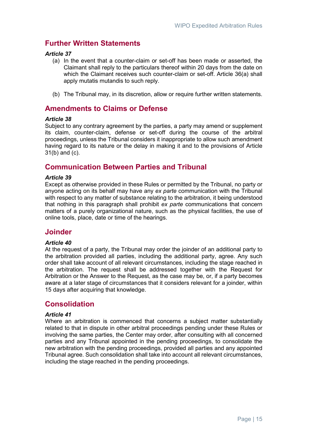### <span id="page-13-0"></span>**Further Written Statements**

#### <span id="page-13-1"></span>*Article 37*

- (a) In the event that a counter-claim or set-off has been made or asserted, the Claimant shall reply to the particulars thereof within 20 days from the date on which the Claimant receives such counter-claim or set-off. Article 36(a) shall apply mutatis mutandis to such reply.
- (b) The Tribunal may, in its discretion, allow or require further written statements.

### <span id="page-13-2"></span>**Amendments to Claims or Defense**

#### <span id="page-13-3"></span>*Article 38*

Subject to any contrary agreement by the parties, a party may amend or supplement its claim, counter-claim, defense or set-off during the course of the arbitral proceedings, unless the Tribunal considers it inappropriate to allow such amendment having regard to its nature or the delay in making it and to the provisions of Article 31(b) and (c).

### <span id="page-13-4"></span>**Communication Between Parties and Tribunal**

#### <span id="page-13-5"></span>*Article 39*

Except as otherwise provided in these Rules or permitted by the Tribunal, no party or anyone acting on its behalf may have any *ex parte* communication with the Tribunal with respect to any matter of substance relating to the arbitration, it being understood that nothing in this paragraph shall prohibit *ex parte* communications that concern matters of a purely organizational nature, such as the physical facilities, the use of online tools, place, date or time of the hearings.

### <span id="page-13-6"></span>**Joinder**

#### <span id="page-13-7"></span>*Article 40*

At the request of a party, the Tribunal may order the joinder of an additional party to the arbitration provided all parties, including the additional party, agree. Any such order shall take account of all relevant circumstances, including the stage reached in the arbitration. The request shall be addressed together with the Request for Arbitration or the Answer to the Request, as the case may be, or, if a party becomes aware at a later stage of circumstances that it considers relevant for a joinder, within 15 days after acquiring that knowledge.

### <span id="page-13-8"></span>**Consolidation**

#### <span id="page-13-9"></span>*Article 41*

Where an arbitration is commenced that concerns a subject matter substantially related to that in dispute in other arbitral proceedings pending under these Rules or involving the same parties, the Center may order, after consulting with all concerned parties and any Tribunal appointed in the pending proceedings, to consolidate the new arbitration with the pending proceedings, provided all parties and any appointed Tribunal agree. Such consolidation shall take into account all relevant circumstances, including the stage reached in the pending proceedings.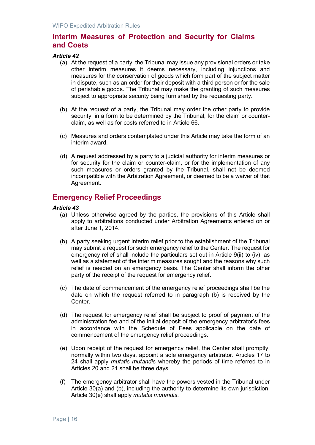### <span id="page-14-0"></span>**Interim Measures of Protection and Security for Claims and Costs**

#### <span id="page-14-1"></span>*Article 42*

- (a) At the request of a party, the Tribunal may issue any provisional orders or take other interim measures it deems necessary, including injunctions and measures for the conservation of goods which form part of the subject matter in dispute, such as an order for their deposit with a third person or for the sale of perishable goods. The Tribunal may make the granting of such measures subject to appropriate security being furnished by the requesting party.
- (b) At the request of a party, the Tribunal may order the other party to provide security, in a form to be determined by the Tribunal, for the claim or counterclaim, as well as for costs referred to in Article 66.
- (c) Measures and orders contemplated under this Article may take the form of an interim award.
- (d) A request addressed by a party to a judicial authority for interim measures or for security for the claim or counter-claim, or for the implementation of any such measures or orders granted by the Tribunal, shall not be deemed incompatible with the Arbitration Agreement, or deemed to be a waiver of that Agreement.

### <span id="page-14-3"></span><span id="page-14-2"></span>**Emergency Relief Proceedings**

- (a) Unless otherwise agreed by the parties, the provisions of this Article shall apply to arbitrations conducted under Arbitration Agreements entered on or after June 1, 2014.
- (b) A party seeking urgent interim relief prior to the establishment of the Tribunal may submit a request for such emergency relief to the Center. The request for emergency relief shall include the particulars set out in Article 9(ii) to (iv), as well as a statement of the interim measures sought and the reasons why such relief is needed on an emergency basis. The Center shall inform the other party of the receipt of the request for emergency relief.
- (c) The date of commencement of the emergency relief proceedings shall be the date on which the request referred to in paragraph (b) is received by the Center.
- (d) The request for emergency relief shall be subject to proof of payment of the administration fee and of the initial deposit of the emergency arbitrator's fees in accordance with the [Schedule of Fees](#page-29-0) applicable on the date of commencement of the emergency relief proceedings.
- (e) Upon receipt of the request for emergency relief, the Center shall promptly, normally within two days, appoint a sole emergency arbitrator. Articles 17 to 24 shall apply *mutatis mutandis* whereby the periods of time referred to in Articles 20 and 21 shall be three days.
- (f) The emergency arbitrator shall have the powers vested in the Tribunal under Article 30(a) and (b), including the authority to determine its own jurisdiction. Article 30(e) shall apply *mutatis mutandis*.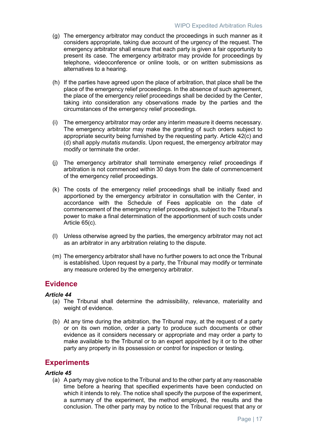- (g) The emergency arbitrator may conduct the proceedings in such manner as it considers appropriate, taking due account of the urgency of the request. The emergency arbitrator shall ensure that each party is given a fair opportunity to present its case. The emergency arbitrator may provide for proceedings by telephone, videoconference or online tools, or on written submissions as alternatives to a hearing.
- (h) If the parties have agreed upon the place of arbitration, that place shall be the place of the emergency relief proceedings. In the absence of such agreement, the place of the emergency relief proceedings shall be decided by the Center, taking into consideration any observations made by the parties and the circumstances of the emergency relief proceedings.
- (i) The emergency arbitrator may order any interim measure it deems necessary. The emergency arbitrator may make the granting of such orders subject to appropriate security being furnished by the requesting party. Article 42(c) and (d) shall apply *mutatis mutandis*. Upon request, the emergency arbitrator may modify or terminate the order.
- (j) The emergency arbitrator shall terminate emergency relief proceedings if arbitration is not commenced within 30 days from the date of commencement of the emergency relief proceedings.
- (k) The costs of the emergency relief proceedings shall be initially fixed and apportioned by the emergency arbitrator in consultation with the Center, in accordance with the [Schedule of Fees](#page-29-0) applicable on the date of commencement of the emergency relief proceedings, subject to the Tribunal's power to make a final determination of the apportionment of such costs under Article 65(c).
- (l) Unless otherwise agreed by the parties, the emergency arbitrator may not act as an arbitrator in any arbitration relating to the dispute.
- (m) The emergency arbitrator shall have no further powers to act once the Tribunal is established. Upon request by a party, the Tribunal may modify or terminate any measure ordered by the emergency arbitrator.

### <span id="page-15-0"></span>**Evidence**

#### <span id="page-15-1"></span>*Article 44*

- (a) The Tribunal shall determine the admissibility, relevance, materiality and weight of evidence.
- (b) At any time during the arbitration, the Tribunal may, at the request of a party or on its own motion, order a party to produce such documents or other evidence as it considers necessary or appropriate and may order a party to make available to the Tribunal or to an expert appointed by it or to the other party any property in its possession or control for inspection or testing.

### <span id="page-15-2"></span>**Experiments**

#### <span id="page-15-3"></span>*Article 45*

(a) A party may give notice to the Tribunal and to the other party at any reasonable time before a hearing that specified experiments have been conducted on which it intends to rely. The notice shall specify the purpose of the experiment, a summary of the experiment, the method employed, the results and the conclusion. The other party may by notice to the Tribunal request that any or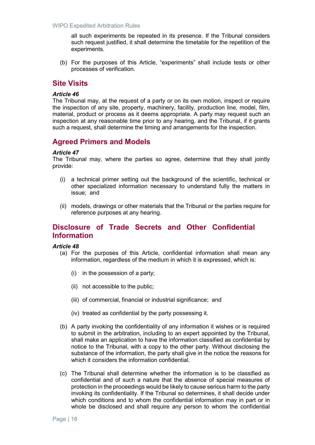all such experiments be repeated in its presence. If the Tribunal considers such request justified, it shall determine the timetable for the repetition of the experiments.

(b) For the purposes of this Article, "experiments" shall include tests or other processes of verification.

### <span id="page-16-0"></span>**Site Visits**

#### <span id="page-16-1"></span>*Article 46*

The Tribunal may, at the request of a party or on its own motion, inspect or require the inspection of any site, property, machinery, facility, production line, model, film, material, product or process as it deems appropriate. A party may request such an inspection at any reasonable time prior to any hearing, and the Tribunal, if it grants such a request, shall determine the timing and arrangements for the inspection.

### <span id="page-16-2"></span>**Agreed Primers and Models**

#### <span id="page-16-3"></span>*Article 47*

The Tribunal may, where the parties so agree, determine that they shall jointly provide:

- (i) a technical primer setting out the background of the scientific, technical or other specialized information necessary to understand fully the matters in issue; and
- (ii) models, drawings or other materials that the Tribunal or the parties require for reference purposes at any hearing.

### <span id="page-16-4"></span>**Disclosure of Trade Secrets and Other Confidential Information**

- <span id="page-16-5"></span>(a) For the purposes of this Article, confidential information shall mean any information, regardless of the medium in which it is expressed, which is:
	- (i) in the possession of a party;
	- (ii) not accessible to the public;
	- (iii) of commercial, financial or industrial significance; and
	- (iv) treated as confidential by the party possessing it.
- (b) A party invoking the confidentiality of any information it wishes or is required to submit in the arbitration, including to an expert appointed by the Tribunal, shall make an application to have the information classified as confidential by notice to the Tribunal, with a copy to the other party. Without disclosing the substance of the information, the party shall give in the notice the reasons for which it considers the information confidential.
- (c) The Tribunal shall determine whether the information is to be classified as confidential and of such a nature that the absence of special measures of protection in the proceedings would be likely to cause serious harm to the party invoking its confidentiality. If the Tribunal so determines, it shall decide under which conditions and to whom the confidential information may in part or in whole be disclosed and shall require any person to whom the confidential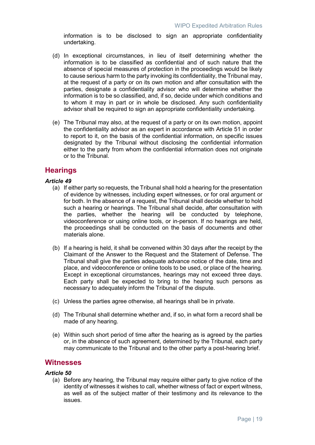information is to be disclosed to sign an appropriate confidentiality undertaking.

- (d) In exceptional circumstances, in lieu of itself determining whether the information is to be classified as confidential and of such nature that the absence of special measures of protection in the proceedings would be likely to cause serious harm to the party invoking its confidentiality, the Tribunal may, at the request of a party or on its own motion and after consultation with the parties, designate a confidentiality advisor who will determine whether the information is to be so classified, and, if so, decide under which conditions and to whom it may in part or in whole be disclosed. Any such confidentiality advisor shall be required to sign an appropriate confidentiality undertaking.
- (e) The Tribunal may also, at the request of a party or on its own motion, appoint the confidentiality advisor as an expert in accordance with Article 51 in order to report to it, on the basis of the confidential information, on specific issues designated by the Tribunal without disclosing the confidential information either to the party from whom the confidential information does not originate or to the Tribunal.

### <span id="page-17-0"></span>**Hearings**

#### <span id="page-17-1"></span>*Article 49*

- (a) If either party so requests, the Tribunal shall hold a hearing for the presentation of evidence by witnesses, including expert witnesses, or for oral argument or for both. In the absence of a request, the Tribunal shall decide whether to hold such a hearing or hearings. The Tribunal shall decide, after consultation with the parties, whether the hearing will be conducted by telephone, videoconference or using online tools, or in-person. If no hearings are held, the proceedings shall be conducted on the basis of documents and other materials alone.
- (b) If a hearing is held, it shall be convened within 30 days after the receipt by the Claimant of the Answer to the Request and the Statement of Defense. The Tribunal shall give the parties adequate advance notice of the date, time and place, and videoconference or online tools to be used, or place of the hearing. Except in exceptional circumstances, hearings may not exceed three days. Each party shall be expected to bring to the hearing such persons as necessary to adequately inform the Tribunal of the dispute.
- (c) Unless the parties agree otherwise, all hearings shall be in private.
- (d) The Tribunal shall determine whether and, if so, in what form a record shall be made of any hearing.
- (e) Within such short period of time after the hearing as is agreed by the parties or, in the absence of such agreement, determined by the Tribunal, each party may communicate to the Tribunal and to the other party a post-hearing brief.

### <span id="page-17-2"></span>**Witnesses**

#### <span id="page-17-3"></span>*Article 50*

(a) Before any hearing, the Tribunal may require either party to give notice of the identity of witnesses it wishes to call, whether witness of fact or expert witness, as well as of the subject matter of their testimony and its relevance to the issues.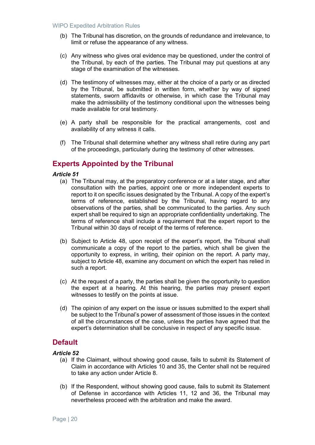- (b) The Tribunal has discretion, on the grounds of redundance and irrelevance, to limit or refuse the appearance of any witness.
- (c) Any witness who gives oral evidence may be questioned, under the control of the Tribunal, by each of the parties. The Tribunal may put questions at any stage of the examination of the witnesses.
- (d) The testimony of witnesses may, either at the choice of a party or as directed by the Tribunal, be submitted in written form, whether by way of signed statements, sworn affidavits or otherwise, in which case the Tribunal may make the admissibility of the testimony conditional upon the witnesses being made available for oral testimony.
- (e) A party shall be responsible for the practical arrangements, cost and availability of any witness it calls.
- (f) The Tribunal shall determine whether any witness shall retire during any part of the proceedings, particularly during the testimony of other witnesses.

### <span id="page-18-0"></span>**Experts Appointed by the Tribunal**

#### <span id="page-18-1"></span>*Article 51*

- (a) The Tribunal may, at the preparatory conference or at a later stage, and after consultation with the parties, appoint one or more independent experts to report to it on specific issues designated by the Tribunal. A copy of the expert's terms of reference, established by the Tribunal, having regard to any observations of the parties, shall be communicated to the parties. Any such expert shall be required to sign an appropriate confidentiality undertaking. The terms of reference shall include a requirement that the expert report to the Tribunal within 30 days of receipt of the terms of reference.
- (b) Subject to Article 48, upon receipt of the expert's report, the Tribunal shall communicate a copy of the report to the parties, which shall be given the opportunity to express, in writing, their opinion on the report. A party may, subject to Article 48, examine any document on which the expert has relied in such a report.
- (c) At the request of a party, the parties shall be given the opportunity to question the expert at a hearing. At this hearing, the parties may present expert witnesses to testify on the points at issue.
- (d) The opinion of any expert on the issue or issues submitted to the expert shall be subject to the Tribunal's power of assessment of those issues in the context of all the circumstances of the case, unless the parties have agreed that the expert's determination shall be conclusive in respect of any specific issue.

### <span id="page-18-3"></span><span id="page-18-2"></span>**Default**

- (a) If the Claimant, without showing good cause, fails to submit its Statement of Claim in accordance with Articles 10 and 35, the Center shall not be required to take any action under Article 8.
- (b) If the Respondent, without showing good cause, fails to submit its Statement of Defense in accordance with Articles 11, 12 and 36, the Tribunal may nevertheless proceed with the arbitration and make the award.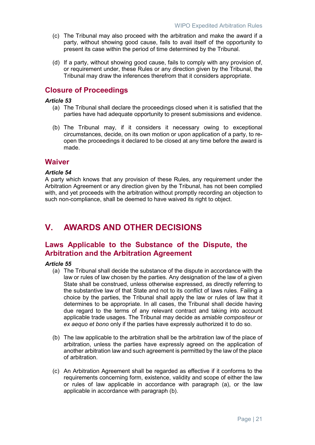- (c) The Tribunal may also proceed with the arbitration and make the award if a party, without showing good cause, fails to avail itself of the opportunity to present its case within the period of time determined by the Tribunal.
- (d) If a party, without showing good cause, fails to comply with any provision of, or requirement under, these Rules or any direction given by the Tribunal, the Tribunal may draw the inferences therefrom that it considers appropriate.

### <span id="page-19-0"></span>**Closure of Proceedings**

#### <span id="page-19-1"></span>*Article 53*

- (a) The Tribunal shall declare the proceedings closed when it is satisfied that the parties have had adequate opportunity to present submissions and evidence.
- (b) The Tribunal may, if it considers it necessary owing to exceptional circumstances, decide, on its own motion or upon application of a party, to reopen the proceedings it declared to be closed at any time before the award is made.

### <span id="page-19-2"></span>**Waiver**

#### <span id="page-19-3"></span>*Article 54*

A party which knows that any provision of these Rules, any requirement under the Arbitration Agreement or any direction given by the Tribunal, has not been complied with, and yet proceeds with the arbitration without promptly recording an objection to such non-compliance, shall be deemed to have waived its right to object.

### <span id="page-19-4"></span>**V. AWARDS AND OTHER DECISIONS**

### <span id="page-19-5"></span>**Laws Applicable to the Substance of the Dispute, the Arbitration and the Arbitration Agreement**

- <span id="page-19-6"></span>(a) The Tribunal shall decide the substance of the dispute in accordance with the law or rules of law chosen by the parties. Any designation of the law of a given State shall be construed, unless otherwise expressed, as directly referring to the substantive law of that State and not to its conflict of laws rules. Failing a choice by the parties, the Tribunal shall apply the law or rules of law that it determines to be appropriate. In all cases, the Tribunal shall decide having due regard to the terms of any relevant contract and taking into account applicable trade usages. The Tribunal may decide as *amiable compositeur* or *ex aequo et bono* only if the parties have expressly authorized it to do so.
- (b) The law applicable to the arbitration shall be the arbitration law of the place of arbitration, unless the parties have expressly agreed on the application of another arbitration law and such agreement is permitted by the law of the place of arbitration.
- (c) An Arbitration Agreement shall be regarded as effective if it conforms to the requirements concerning form, existence, validity and scope of either the law or rules of law applicable in accordance with paragraph (a), or the law applicable in accordance with paragraph (b).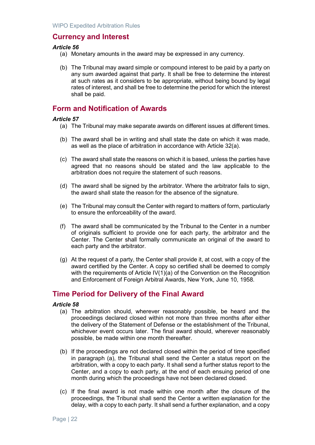### <span id="page-20-0"></span>**Currency and Interest**

#### <span id="page-20-1"></span>*Article 56*

- (a) Monetary amounts in the award may be expressed in any currency.
- (b) The Tribunal may award simple or compound interest to be paid by a party on any sum awarded against that party. It shall be free to determine the interest at such rates as it considers to be appropriate, without being bound by legal rates of interest, and shall be free to determine the period for which the interest shall be paid.

### <span id="page-20-2"></span>**Form and Notification of Awards**

#### <span id="page-20-3"></span>*Article 57*

- (a) The Tribunal may make separate awards on different issues at different times.
- (b) The award shall be in writing and shall state the date on which it was made, as well as the place of arbitration in accordance with Article 32(a).
- (c) The award shall state the reasons on which it is based, unless the parties have agreed that no reasons should be stated and the law applicable to the arbitration does not require the statement of such reasons.
- (d) The award shall be signed by the arbitrator. Where the arbitrator fails to sign, the award shall state the reason for the absence of the signature.
- (e) The Tribunal may consult the Center with regard to matters of form, particularly to ensure the enforceability of the award.
- (f) The award shall be communicated by the Tribunal to the Center in a number of originals sufficient to provide one for each party, the arbitrator and the Center. The Center shall formally communicate an original of the award to each party and the arbitrator.
- (g) At the request of a party, the Center shall provide it, at cost, with a copy of the award certified by the Center. A copy so certified shall be deemed to comply with the requirements of Article IV(1)(a) of the Convention on the Recognition and Enforcement of Foreign Arbitral Awards, New York, June 10, 1958.

### <span id="page-20-5"></span><span id="page-20-4"></span>**Time Period for Delivery of the Final Award**

- (a) The arbitration should, wherever reasonably possible, be heard and the proceedings declared closed within not more than three months after either the delivery of the Statement of Defense or the establishment of the Tribunal, whichever event occurs later. The final award should, wherever reasonably possible, be made within one month thereafter.
- (b) If the proceedings are not declared closed within the period of time specified in paragraph (a), the Tribunal shall send the Center a status report on the arbitration, with a copy to each party. It shall send a further status report to the Center, and a copy to each party, at the end of each ensuing period of one month during which the proceedings have not been declared closed.
- (c) If the final award is not made within one month after the closure of the proceedings, the Tribunal shall send the Center a written explanation for the delay, with a copy to each party. It shall send a further explanation, and a copy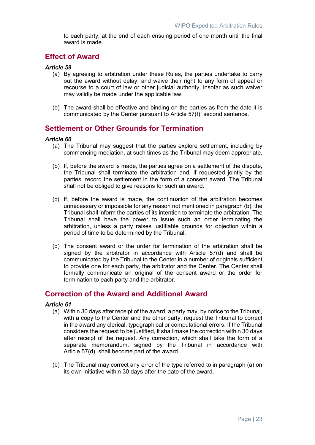to each party, at the end of each ensuing period of one month until the final award is made.

### <span id="page-21-0"></span>**Effect of Award**

#### <span id="page-21-1"></span>*Article 59*

- (a) By agreeing to arbitration under these Rules, the parties undertake to carry out the award without delay, and waive their right to any form of appeal or recourse to a court of law or other judicial authority, insofar as such waiver may validly be made under the applicable law.
- (b) The award shall be effective and binding on the parties as from the date it is communicated by the Center pursuant to Article 57(f), second sentence.

### <span id="page-21-2"></span>**Settlement or Other Grounds for Termination**

#### <span id="page-21-3"></span>*Article 60*

- (a) The Tribunal may suggest that the parties explore settlement, including by commencing mediation, at such times as the Tribunal may deem appropriate.
- (b) If, before the award is made, the parties agree on a settlement of the dispute, the Tribunal shall terminate the arbitration and, if requested jointly by the parties, record the settlement in the form of a consent award. The Tribunal shall not be obliged to give reasons for such an award.
- (c) If, before the award is made, the continuation of the arbitration becomes unnecessary or impossible for any reason not mentioned in paragraph (b), the Tribunal shall inform the parties of its intention to terminate the arbitration. The Tribunal shall have the power to issue such an order terminating the arbitration, unless a party raises justifiable grounds for objection within a period of time to be determined by the Tribunal.
- (d) The consent award or the order for termination of the arbitration shall be signed by the arbitrator in accordance with Article 57(d) and shall be communicated by the Tribunal to the Center in a number of originals sufficient to provide one for each party, the arbitrator and the Center. The Center shall formally communicate an original of the consent award or the order for termination to each party and the arbitrator.

### <span id="page-21-5"></span><span id="page-21-4"></span>**Correction of the Award and Additional Award**

- (a) Within 30 days after receipt of the award, a party may, by notice to the Tribunal, with a copy to the Center and the other party, request the Tribunal to correct in the award any clerical, typographical or computational errors. If the Tribunal considers the request to be justified, it shall make the correction within 30 days after receipt of the request. Any correction, which shall take the form of a separate memorandum, signed by the Tribunal in accordance with Article 57(d), shall become part of the award.
- (b) The Tribunal may correct any error of the type referred to in paragraph (a) on its own initiative within 30 days after the date of the award.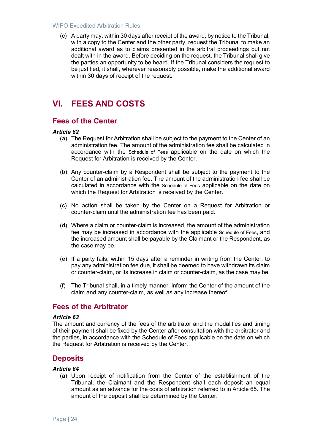(c) A party may, within 30 days after receipt of the award, by notice to the Tribunal, with a copy to the Center and the other party, request the Tribunal to make an additional award as to claims presented in the arbitral proceedings but not dealt with in the award. Before deciding on the request, the Tribunal shall give the parties an opportunity to be heard. If the Tribunal considers the request to be justified, it shall, wherever reasonably possible, make the additional award within 30 days of receipt of the request.

### <span id="page-22-0"></span>**VI. FEES AND COSTS**

### <span id="page-22-1"></span>**Fees of the Center**

#### <span id="page-22-2"></span>*Article 62*

- (a) The Request for Arbitration shall be subject to the payment to the Center of an administration fee. The amount of the administration fee shall be calculated in accordance with the [Schedule of Fees](#page-27-0) applicable on the date on which the Request for Arbitration is received by the Center.
- (b) Any counter-claim by a Respondent shall be subject to the payment to the Center of an administration fee. The amount of the administration fee shall be calculated in accordance with the [Schedule of Fees](#page-27-0) applicable on the date on which the Request for Arbitration is received by the Center.
- (c) No action shall be taken by the Center on a Request for Arbitration or counter-claim until the administration fee has been paid.
- (d) Where a claim or counter-claim is increased, the amount of the administration fee may be increased in accordance with the applicable [Schedule of Fees,](#page-27-0) and the increased amount shall be payable by the Claimant or the Respondent, as the case may be.
- (e) If a party fails, within 15 days after a reminder in writing from the Center, to pay any administration fee due, it shall be deemed to have withdrawn its claim or counter-claim, or its increase in claim or counter-claim, as the case may be.
- (f) The Tribunal shall, in a timely manner, inform the Center of the amount of the claim and any counter-claim, as well as any increase thereof.

### <span id="page-22-3"></span>**Fees of the Arbitrator**

#### <span id="page-22-4"></span>*Article 63*

The amount and currency of the fees of the arbitrator and the modalities and timing of their payment shall be fixed by the Center after consultation with the arbitrator and the parties, in accordance with the Schedule of Fees applicable on the date on which the Request for Arbitration is received by the Center.

### <span id="page-22-5"></span>**Deposits**

#### <span id="page-22-6"></span>*Article 64*

(a) Upon receipt of notification from the Center of the establishment of the Tribunal, the Claimant and the Respondent shall each deposit an equal amount as an advance for the costs of arbitration referred to in Article 65. The amount of the deposit shall be determined by the Center.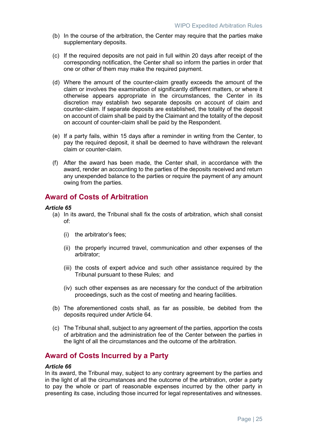- (b) In the course of the arbitration, the Center may require that the parties make supplementary deposits.
- (c) If the required deposits are not paid in full within 20 days after receipt of the corresponding notification, the Center shall so inform the parties in order that one or other of them may make the required payment.
- (d) Where the amount of the counter-claim greatly exceeds the amount of the claim or involves the examination of significantly different matters, or where it otherwise appears appropriate in the circumstances, the Center in its discretion may establish two separate deposits on account of claim and counter-claim. If separate deposits are established, the totality of the deposit on account of claim shall be paid by the Claimant and the totality of the deposit on account of counter-claim shall be paid by the Respondent.
- (e) If a party fails, within 15 days after a reminder in writing from the Center, to pay the required deposit, it shall be deemed to have withdrawn the relevant claim or counter-claim.
- (f) After the award has been made, the Center shall, in accordance with the award, render an accounting to the parties of the deposits received and return any unexpended balance to the parties or require the payment of any amount owing from the parties.

### <span id="page-23-0"></span>**Award of Costs of Arbitration**

#### <span id="page-23-1"></span>*Article 65*

- (a) In its award, the Tribunal shall fix the costs of arbitration, which shall consist of:
	- (i) the arbitrator's fees;
	- (ii) the properly incurred travel, communication and other expenses of the arbitrator;
	- (iii) the costs of expert advice and such other assistance required by the Tribunal pursuant to these Rules; and
	- (iv) such other expenses as are necessary for the conduct of the arbitration proceedings, such as the cost of meeting and hearing facilities.
- (b) The aforementioned costs shall, as far as possible, be debited from the deposits required under Article 64.
- (c) The Tribunal shall, subject to any agreement of the parties, apportion the costs of arbitration and the administration fee of the Center between the parties in the light of all the circumstances and the outcome of the arbitration.

### <span id="page-23-2"></span>**Award of Costs Incurred by a Party**

#### <span id="page-23-3"></span>*Article 66*

In its award, the Tribunal may, subject to any contrary agreement by the parties and in the light of all the circumstances and the outcome of the arbitration, order a party to pay the whole or part of reasonable expenses incurred by the other party in presenting its case, including those incurred for legal representatives and witnesses.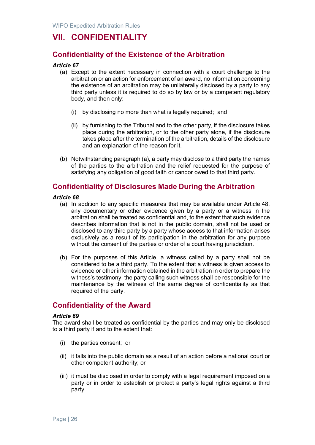## <span id="page-24-0"></span>**VII. CONFIDENTIALITY**

### <span id="page-24-1"></span>**Confidentiality of the Existence of the Arbitration**

#### <span id="page-24-2"></span>*Article 67*

- (a) Except to the extent necessary in connection with a court challenge to the arbitration or an action for enforcement of an award, no information concerning the existence of an arbitration may be unilaterally disclosed by a party to any third party unless it is required to do so by law or by a competent regulatory body, and then only:
	- (i) by disclosing no more than what is legally required; and
	- (ii) by furnishing to the Tribunal and to the other party, if the disclosure takes place during the arbitration, or to the other party alone, if the disclosure takes place after the termination of the arbitration, details of the disclosure and an explanation of the reason for it.
- (b) Notwithstanding paragraph (a), a party may disclose to a third party the names of the parties to the arbitration and the relief requested for the purpose of satisfying any obligation of good faith or candor owed to that third party.

### <span id="page-24-3"></span>**Confidentiality of Disclosures Made During the Arbitration**

#### <span id="page-24-4"></span>*Article 68*

- (a) In addition to any specific measures that may be available under Article 48, any documentary or other evidence given by a party or a witness in the arbitration shall be treated as confidential and, to the extent that such evidence describes information that is not in the public domain, shall not be used or disclosed to any third party by a party whose access to that information arises exclusively as a result of its participation in the arbitration for any purpose without the consent of the parties or order of a court having jurisdiction.
- (b) For the purposes of this Article, a witness called by a party shall not be considered to be a third party. To the extent that a witness is given access to evidence or other information obtained in the arbitration in order to prepare the witness's testimony, the party calling such witness shall be responsible for the maintenance by the witness of the same degree of confidentiality as that required of the party.

### <span id="page-24-5"></span>**Confidentiality of the Award**

#### <span id="page-24-6"></span>*Article 69*

The award shall be treated as confidential by the parties and may only be disclosed to a third party if and to the extent that:

- (i) the parties consent; or
- (ii) it falls into the public domain as a result of an action before a national court or other competent authority; or
- (iii) it must be disclosed in order to comply with a legal requirement imposed on a party or in order to establish or protect a party's legal rights against a third party.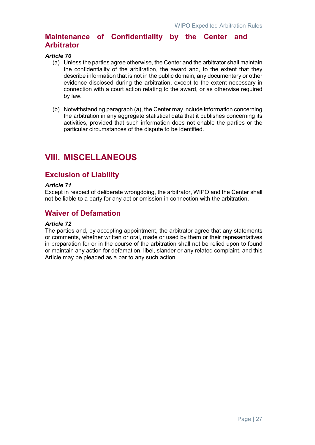### <span id="page-25-0"></span>**Maintenance of Confidentiality by the Center and Arbitrator**

#### <span id="page-25-1"></span>*Article 70*

- (a) Unless the parties agree otherwise, the Center and the arbitrator shall maintain the confidentiality of the arbitration, the award and, to the extent that they describe information that is not in the public domain, any documentary or other evidence disclosed during the arbitration, except to the extent necessary in connection with a court action relating to the award, or as otherwise required by law.
- (b) Notwithstanding paragraph (a), the Center may include information concerning the arbitration in any aggregate statistical data that it publishes concerning its activities, provided that such information does not enable the parties or the particular circumstances of the dispute to be identified.

### <span id="page-25-2"></span>**VIII. MISCELLANEOUS**

### <span id="page-25-3"></span>**Exclusion of Liability**

#### <span id="page-25-4"></span>*Article 71*

Except in respect of deliberate wrongdoing, the arbitrator, WIPO and the Center shall not be liable to a party for any act or omission in connection with the arbitration.

### <span id="page-25-5"></span>**Waiver of Defamation**

#### <span id="page-25-6"></span>*Article 72*

The parties and, by accepting appointment, the arbitrator agree that any statements or comments, whether written or oral, made or used by them or their representatives in preparation for or in the course of the arbitration shall not be relied upon to found or maintain any action for defamation, libel, slander or any related complaint, and this Article may be pleaded as a bar to any such action.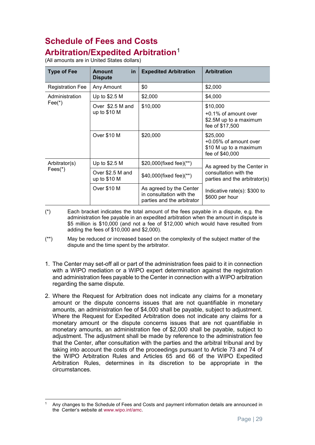## <span id="page-27-0"></span>**Schedule of Fees and Costs Arbitration/Expedited Arbitration**[1](#page-27-2)

<span id="page-27-1"></span>(All amounts are in United States dollars)

| <b>Type of Fee</b>         | <b>Amount</b><br>in.<br><b>Dispute</b> | <b>Expedited Arbitration</b>                                                      | <b>Arbitration</b>                                                             |  |
|----------------------------|----------------------------------------|-----------------------------------------------------------------------------------|--------------------------------------------------------------------------------|--|
| <b>Registration Fee</b>    | Any Amount                             | \$0                                                                               | \$2,000                                                                        |  |
| Administration             | Up to \$2.5 M                          | \$2,000                                                                           | \$4,000                                                                        |  |
| $\mathsf{Fee}(\mathsf{A})$ | Over \$2.5 M and<br>up to $$10 M$      | \$10,000                                                                          | \$10,000<br>+0.1% of amount over<br>\$2.5M up to a maximum<br>fee of \$17,500  |  |
|                            | <b>Over \$10 M</b>                     | \$20,000                                                                          | \$25,000<br>+0.05% of amount over<br>\$10 M up to a maximum<br>fee of \$40,000 |  |
| Arbitrator(s)              | Up to \$2.5 M                          | \$20,000(fixed fee)(**)                                                           | As agreed by the Center in                                                     |  |
| $Fees(*)$                  | Over \$2.5 M and<br>up to $$10 M$      | \$40,000(fixed fee)(**)                                                           | consultation with the<br>parties and the arbitrator(s)                         |  |
|                            | <b>Over \$10 M</b>                     | As agreed by the Center<br>in consultation with the<br>parties and the arbitrator | Indicative rate(s): $$300$ to<br>\$600 per hour                                |  |

- (\*) Each bracket indicates the total amount of the fees payable in a dispute, e.g. the administration fee payable in an expedited arbitration when the amount in dispute is \$5 million is \$10,000 (and not a fee of \$12,000 which would have resulted from adding the fees of \$10,000 and \$2,000).
- (\*\*) May be reduced or increased based on the complexity of the subject matter of the dispute and the time spent by the arbitrator.
- 1. The Center may set-off all or part of the administration fees paid to it in connection with a WIPO mediation or a WIPO expert determination against the registration and administration fees payable to the Center in connection with a WIPO arbitration regarding the same dispute.
- 2. Where the Request for Arbitration does not indicate any claims for a monetary amount or the dispute concerns issues that are not quantifiable in monetary amounts, an administration fee of \$4,000 shall be payable, subject to adjustment. Where the Request for Expedited Arbitration does not indicate any claims for a monetary amount or the dispute concerns issues that are not quantifiable in monetary amounts, an administration fee of \$2,000 shall be payable, subject to adjustment. The adjustment shall be made by reference to the administration fee that the Center, after consultation with the parties and the arbitral tribunal and by taking into account the costs of the proceedings pursuant to Article 73 and 74 of the WIPO Arbitration Rules and Articles 65 and 66 of the WIPO Expedited Arbitration Rules, determines in its discretion to be appropriate in the circumstances.

<span id="page-27-2"></span> <sup>1</sup> Any changes to the Schedule of Fees and Costs and payment information details are announced in the Center's website at [www.wipo.int/amc.](file://wipogvafs01/ARB/ORGARBT/SHARED/Publications/446%20-%20RULES/446E%20English%20-%20Revision%202016/www.wipo.int/amc)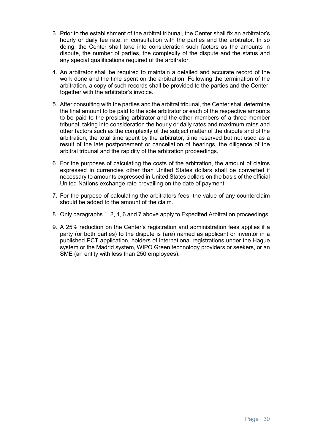- 3. Prior to the establishment of the arbitral tribunal, the Center shall fix an arbitrator's hourly or daily fee rate, in consultation with the parties and the arbitrator. In so doing, the Center shall take into consideration such factors as the amounts in dispute, the number of parties, the complexity of the dispute and the status and any special qualifications required of the arbitrator.
- 4. An arbitrator shall be required to maintain a detailed and accurate record of the work done and the time spent on the arbitration. Following the termination of the arbitration, a copy of such records shall be provided to the parties and the Center, together with the arbitrator's invoice.
- 5. After consulting with the parties and the arbitral tribunal, the Center shall determine the final amount to be paid to the sole arbitrator or each of the respective amounts to be paid to the presiding arbitrator and the other members of a three-member tribunal, taking into consideration the hourly or daily rates and maximum rates and other factors such as the complexity of the subject matter of the dispute and of the arbitration, the total time spent by the arbitrator, time reserved but not used as a result of the late postponement or cancellation of hearings, the diligence of the arbitral tribunal and the rapidity of the arbitration proceedings.
- 6. For the purposes of calculating the costs of the arbitration, the amount of claims expressed in currencies other than United States dollars shall be converted if necessary to amounts expressed in United States dollars on the basis of the [official](https://treasury.un.org/operationalrates/OperationalRates.php)  [United Nations exchange rate](https://treasury.un.org/operationalrates/OperationalRates.php) prevailing on the date of payment.
- 7. For the purpose of calculating the arbitrators fees, the value of any counterclaim should be added to the amount of the claim.
- 8. Only paragraphs 1, 2, 4, 6 and 7 above apply to Expedited Arbitration proceedings.
- 9. A [25% reduction](http://www.wipo.int/amc/en/arbitration/fees/amended.html) on the Center's registration and administration fees applies if a party (or both parties) to the dispute is (are) named as applicant or inventor in a published PCT application, holders of international registrations under the Hague system or the Madrid system, WIPO Green technology providers or seekers, or an SME (an entity with less than 250 employees).